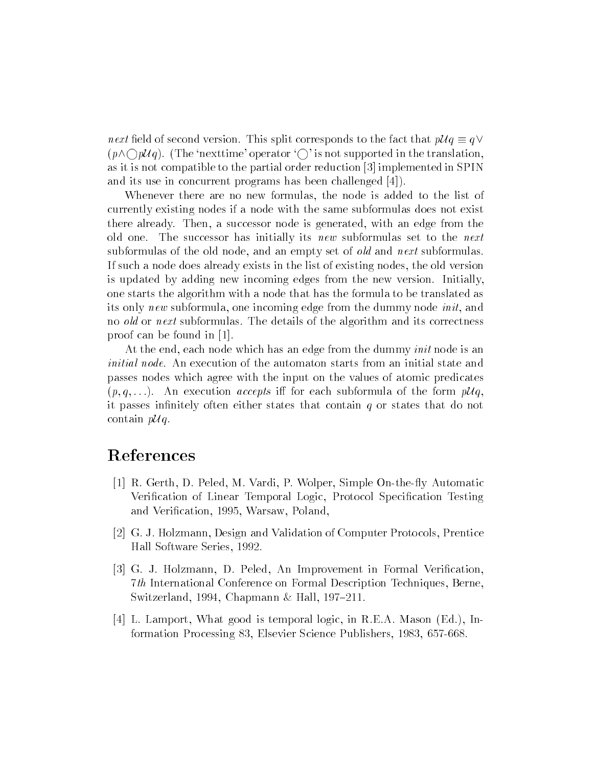$\alpha$  is the second version. This split corresponds to the fact that  $\rho_{\rm{UV}} = \eta$  ,  $(p \wedge \bigcirc p \mathcal{U}q)$ . (The 'nexttime' operator ' $\bigcirc$ ' is not supported in the translation. as it is not compatible to the partial order reduction [3] implemented in SPIN and its use in concurrent programs has been challenged [4]).

Whenever there are no new formulas, the node is added to the list of currently existing nodes if a node with the same subformulas does not exist there already. Then, a successor node is generated, with an edge from the old one. The successor has initially its new subformulas set to the next subformulas of the old node, and an empty set of old and next subformulas. If such a node does already exists in the list of existing nodes, the old version is updated by adding new incoming edges from the new version. Initially, one starts the algorithm with a node that has the formula to be translated as its only new subformula, one incoming edge from the dummy node init, and no old or next subformulas. The details of the algorithm and its correctness proof can be found in [1].

At the end, each node which has an edge from the dummy *init* node is an initial node. An execution of the automaton starts from an initial state and passes nodes which agree with the input on the values of atomic predicates  $(p, q, \ldots)$ . An execution *accepts* iff for each subformula of the form  $p\mathcal{U}q$ , it passes infinitely often either states that contain  $q$  or states that do not contain  $p\mathcal{U}q$ .

## References

- [1] R. Gerth, D. Peled, M. Vardi, P. Wolper, Simple On-the-fly Automatic Verification of Linear Temporal Logic, Protocol Specification Testing and Verification, 1995, Warsaw, Poland,
- [2] G. J. Holzmann, Design and Validation of Computer Protocols, Prentice Hall Software Series, 1992.
- [3] G. J. Holzmann, D. Peled, An Improvement in Formal Verification 7th International Conference on Formal Description Techniques, Berne, Switzerland, 1994, Chapmann & Hall, 197-211.
- [4] L. Lamport, What good is temporal logic, in R.E.A. Mason (Ed.), Information Processing 83, Elsevier Science Publishers, 1983, 657-668.